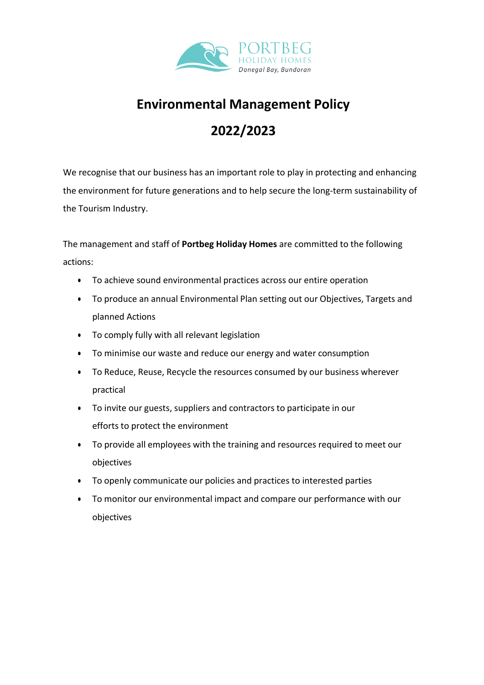

### **Environmental Management Policy**

# **2022/2023**

We recognise that our business has an important role to play in protecting and enhancing the environment for future generations and to help secure the long-term sustainability of the Tourism Industry.

The management and staff of **Portbeg Holiday Homes** are committed to the following actions:

- To achieve sound environmental practices across our entire operation
- To produce an annual Environmental Plan setting out our Objectives, Targets and planned Actions
- To comply fully with all relevant legislation
- To minimise our waste and reduce our energy and water consumption
- To Reduce, Reuse, Recycle the resources consumed by our business wherever practical
- To invite our guests, suppliers and contractors to participate in our efforts to protect the environment
- To provide all employees with the training and resources required to meet our objectives
- To openly communicate our policies and practices to interested parties
- To monitor our environmental impact and compare our performance with our objectives